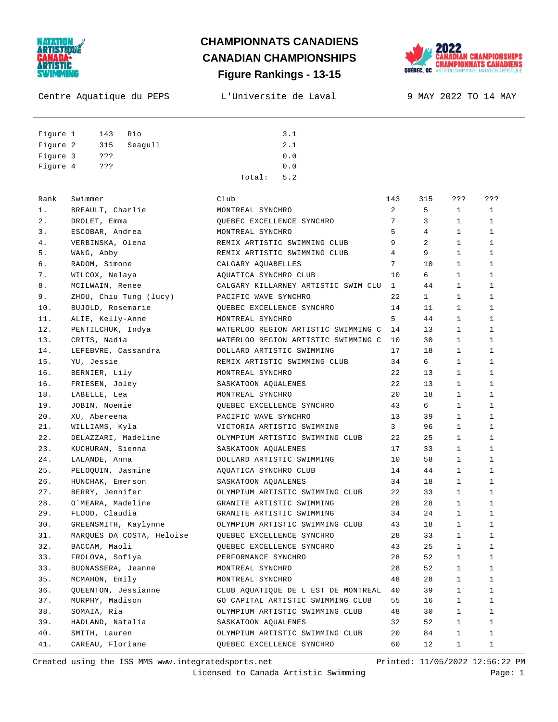

#### **Figure Rankings - 13-15 CHAMPIONNATS CANADIENS CANADIAN CHAMPIONSHIPS**



Centre Aquatique du PEPS L'Universite de Laval 9 MAY 2022 TO 14 MAY

Figure 1 143 Rio 3.1 Figure 2 315 Seagull 2.1 Figure 3 ??? 0.0 Figure 4 ??? 0.0 Total: 5.2

| Rank  | Swimmer                   | Club                                | 143            | 315            | ???          | ???          |
|-------|---------------------------|-------------------------------------|----------------|----------------|--------------|--------------|
| 1.    | BREAULT, Charlie          | MONTREAL SYNCHRO                    | $\overline{2}$ | 5              | $\mathbf{1}$ | $\mathbf{1}$ |
| $2$ . | DROLET, Emma              | QUEBEC EXCELLENCE SYNCHRO           | 7              | 3              | $\mathbf{1}$ | $\mathbf{1}$ |
| 3.    | ESCOBAR, Andrea           | MONTREAL SYNCHRO                    | 5              | $\overline{4}$ | $\mathbf{1}$ | $\mathbf{1}$ |
| 4.    | VERBINSKA, Olena          | REMIX ARTISTIC SWIMMING CLUB        | 9              | 2              | $\mathbf{1}$ | $\mathbf{1}$ |
| 5.    | WANG, Abby                | REMIX ARTISTIC SWIMMING CLUB        | 4              | 9              | $\mathbf{1}$ | $\mathbf{1}$ |
| б.    | RADOM, Simone             | CALGARY AOUABELLES                  | 7              | 10             | $\mathbf{1}$ | $\mathbf{1}$ |
| 7.    | WILCOX, Nelaya            | AQUATICA SYNCHRO CLUB               | 10             | 6              | $\mathbf{1}$ | $\mathbf{1}$ |
| 8.    | MCILWAIN, Renee           | CALGARY KILLARNEY ARTISTIC SWIM CLU | 1              | 44             | $\mathbf{1}$ | $\mathbf{1}$ |
| 9.    | ZHOU, Chiu Tung (lucy)    | PACIFIC WAVE SYNCHRO                | 2.2.           | 1              | $\mathbf{1}$ | $\mathbf{1}$ |
| 10.   | BUJOLD, Rosemarie         | OUEBEC EXCELLENCE SYNCHRO           | 14             | 11             | $\mathbf{1}$ | $\mathbf{1}$ |
| 11.   | ALIE, Kelly-Anne          | MONTREAL SYNCHRO                    | 5              | 44             | $\mathbf{1}$ | $\mathbf{1}$ |
| 12.   | PENTILCHUK, Indya         | WATERLOO REGION ARTISTIC SWIMMING C | 14             | 13             | $\mathbf{1}$ | $\mathbf{1}$ |
| 13.   | CRITS, Nadia              | WATERLOO REGION ARTISTIC SWIMMING C | 10             | 30             | $\mathbf{1}$ | $\mathbf{1}$ |
| 14.   | LEFEBVRE, Cassandra       | DOLLARD ARTISTIC SWIMMING           | 17             | 18             | 1            | $\mathbf{1}$ |
| 15.   | YU, Jessie                | REMIX ARTISTIC SWIMMING CLUB        | 34             | 6              | $\mathbf{1}$ | $\mathbf{1}$ |
| 16.   | BERNIER, Lily             | MONTREAL SYNCHRO                    | 2.2            | 13             | $\mathbf{1}$ | $\mathbf{1}$ |
| 16.   | FRIESEN, Joley            | SASKATOON AQUALENES                 | 22             | 13             | $\mathbf{1}$ | $\mathbf{1}$ |
| 18.   | LABELLE, Lea              | MONTREAL SYNCHRO                    | 20             | 18             | $\mathbf{1}$ | $\mathbf{1}$ |
| 19.   | JOBIN, Noemie             | OUEBEC EXCELLENCE SYNCHRO           | 43             | 6              | $\mathbf{1}$ | $\mathbf{1}$ |
| 20.   | XU. Abereena              | PACIFIC WAVE SYNCHRO                | 13             | 39             | $\mathbf{1}$ | $\mathbf{1}$ |
| 21.   | WILLIAMS, Kyla            | VICTORIA ARTISTIC SWIMMING          | $\mathbf{3}$   | 96             | $\mathbf{1}$ | $\mathbf{1}$ |
| 22.   | DELAZZARI, Madeline       | OLYMPIUM ARTISTIC SWIMMING CLUB     | 22             | 25             | 1            | $\mathbf{1}$ |
| 23.   | KUCHURAN, Sienna          | SASKATOON AQUALENES                 | 17             | 33             | 1            | 1            |
| 24.   | LALANDE, Anna             | DOLLARD ARTISTIC SWIMMING           | 10             | 58             | $\mathbf{1}$ | $\mathbf{1}$ |
| 25.   | PELOQUIN, Jasmine         | AQUATICA SYNCHRO CLUB               | 14             | 44             | $\mathbf{1}$ | $\mathbf{1}$ |
| 26.   | HUNCHAK, Emerson          | SASKATOON AQUALENES                 | 34             | 18             | $\mathbf{1}$ | $\mathbf{1}$ |
| 27.   | BERRY, Jennifer           | OLYMPIUM ARTISTIC SWIMMING CLUB     | 22             | 33             | $\mathbf{1}$ | $\mathbf{1}$ |
| 28.   | O`MEARA, Madeline         | GRANITE ARTISTIC SWIMMING           | 28             | 28             | $\mathbf{1}$ | $\mathbf{1}$ |
| 29.   | FLOOD, Claudia            | GRANITE ARTISTIC SWIMMING           | 34             | 24             | 1            | $\mathbf{1}$ |
| 30.   | GREENSMITH, Kaylynne      | OLYMPIUM ARTISTIC SWIMMING CLUB     | 43             | 18             | $\mathbf 1$  | $\mathbf{1}$ |
| 31.   | MARQUES DA COSTA, Heloise | OUEBEC EXCELLENCE SYNCHRO           | 28             | 33             | $\mathbf{1}$ | $\mathbf{1}$ |
| 32.   | BACCAM, Maoli             | OUEBEC EXCELLENCE SYNCHRO           | 43             | 25             | $\mathbf{1}$ | $\mathbf{1}$ |
| 33.   | FROLOVA, Sofiya           | PERFORMANCE SYNCHRO                 | 28             | 52             | $\mathbf 1$  | $\mathbf{1}$ |
| 33.   | BUONASSERA, Jeanne        | MONTREAL SYNCHRO                    | 28             | 52             | $\mathbf{1}$ | $\mathbf{1}$ |
| 35.   | MCMAHON, Emily            | MONTREAL SYNCHRO                    | 48             | 28             | $\mathbf{1}$ | $\mathbf{1}$ |
| 36.   | QUEENTON, Jessianne       | CLUB AQUATIQUE DE L EST DE MONTREAL | 40             | 39             | $\mathbf{1}$ | $\mathbf{1}$ |
| 37.   | MURPHY, Madison           | GO CAPITAL ARTISTIC SWIMMING CLUB   | 55             | 16             | $\mathbf{1}$ | $\mathbf{1}$ |
| 38.   | SOMAIA, Ria               | OLYMPIUM ARTISTIC SWIMMING CLUB     | 48             | 30             | $\mathbf{1}$ | $\mathbf{1}$ |
| 39.   | HADLAND, Natalia          | SASKATOON AOUALENES                 | 32             | 52             | $\mathbf 1$  | $\mathbf{1}$ |
| 40.   | SMITH, Lauren             | OLYMPIUM ARTISTIC SWIMMING CLUB     | 20             | 84             | $\mathbf{1}$ | $\mathbf{1}$ |
| 41.   | CAREAU, Floriane          | QUEBEC EXCELLENCE SYNCHRO           | 60             | 12             | $\mathbf{1}$ | $\mathbf{1}$ |
|       |                           |                                     |                |                |              |              |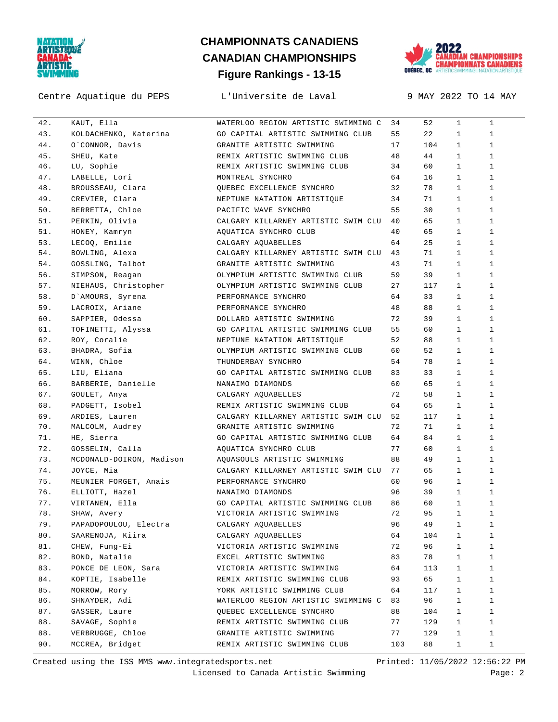

#### Centre Aquatique du PEPS L'Universite de Laval 9 MAY 2022 TO 14 MAY

# **Figure Rankings - 13-15 CHAMPIONNATS CANADIENS CANADIAN CHAMPIONSHIPS**



| 42. | KAUT, Ella                        | WATERLOO REGION ARTISTIC SWIMMING C    | 34  | 52  | $\mathbf{1}$ | $\mathbf{1}$ |
|-----|-----------------------------------|----------------------------------------|-----|-----|--------------|--------------|
| 43. | KOLDACHENKO, Katerina             | GO CAPITAL ARTISTIC SWIMMING CLUB      | 55  | 22  | $\mathbf{1}$ | $\mathbf{1}$ |
| 44. | O`CONNOR, Davis                   | GRANITE ARTISTIC SWIMMING              | 17  | 104 | $\mathbf{1}$ | $\mathbf{1}$ |
| 45. | SHEU, Kate                        | REMIX ARTISTIC SWIMMING CLUB           | 48  | 44  | $\mathbf{1}$ | $\mathbf{1}$ |
| 46. | LU, Sophie                        | REMIX ARTISTIC SWIMMING CLUB           | 34  | 60  | $\mathbf{1}$ | $\mathbf{1}$ |
| 47. | LABELLE, Lori                     | MONTREAL SYNCHRO                       | 64  | 16  | $\mathbf{1}$ | $\mathbf{1}$ |
| 48. | BROUSSEAU, Clara                  | QUEBEC EXCELLENCE SYNCHRO              | 32  | 78  | $\mathbf{1}$ | $\mathbf{1}$ |
| 49. | CREVIER, Clara                    | NEPTUNE NATATION ARTISTIQUE            | 34  | 71  | $\mathbf{1}$ | $\mathbf{1}$ |
| 50. | BERRETTA, Chloe                   | PACIFIC WAVE SYNCHRO                   | 55  | 30  | $\mathbf{1}$ | $\mathbf{1}$ |
| 51. | PERKIN, Olivia                    | CALGARY KILLARNEY ARTISTIC SWIM CLU 40 |     | 65  | $\mathbf{1}$ | $\mathbf{1}$ |
| 51. | HONEY, Kamryn                     | AQUATICA SYNCHRO CLUB                  | 40  | 65  | $\mathbf{1}$ | $\mathbf{1}$ |
| 53. | LECOQ, Emilie                     | CALGARY AOUABELLES                     | 64  | 25  | $\mathbf{1}$ | $\mathbf{1}$ |
| 54. | BOWLING, Alexa                    | CALGARY KILLARNEY ARTISTIC SWIM CLU    | 43  | 71  | $\mathbf{1}$ | $\mathbf{1}$ |
| 54. | GOSSLING, Talbot                  | GRANITE ARTISTIC SWIMMING              | 43  | 71  | $\mathbf{1}$ | $\mathbf{1}$ |
| 56. | SIMPSON, Reagan                   | OLYMPIUM ARTISTIC SWIMMING CLUB        | 59  | 39  | $\mathbf{1}$ | $\mathbf{1}$ |
| 57. | NIEHAUS, Christopher              | OLYMPIUM ARTISTIC SWIMMING CLUB        | 27  | 117 | $\mathbf{1}$ | $\mathbf{1}$ |
| 58. | D'AMOURS, Syrena                  | PERFORMANCE SYNCHRO                    | 64  | 33  | $\mathbf{1}$ | $\mathbf{1}$ |
| 59. | LACROIX, Ariane                   | PERFORMANCE SYNCHRO                    | 48  | 88  | $\mathbf{1}$ | $\mathbf{1}$ |
| 60. | SAPPIER, Odessa                   | DOLLARD ARTISTIC SWIMMING              | 72  | 39  | $\mathbf{1}$ | $\mathbf{1}$ |
| 61. |                                   | GO CAPITAL ARTISTIC SWIMMING CLUB      | 55  | 60  | $\mathbf{1}$ | $\mathbf{1}$ |
| 62. | TOFINETTI, Alyssa<br>ROY, Coralie | NEPTUNE NATATION ARTISTIQUE            | 52  | 88  | $\mathbf{1}$ | 1            |
| 63. | BHADRA, Sofia                     | OLYMPIUM ARTISTIC SWIMMING CLUB        | 60  | 52  | $\mathbf{1}$ | $\mathbf{1}$ |
| 64. | WINN, Chloe                       | THUNDERBAY SYNCHRO                     | 54  | 78  | $\mathbf{1}$ | $\mathbf{1}$ |
| 65. | LIU, Eliana                       | GO CAPITAL ARTISTIC SWIMMING CLUB      | 83  | 33  | $\mathbf{1}$ | $\mathbf{1}$ |
| 66. | BARBERIE, Danielle                | NANAIMO DIAMONDS                       | 60  | 65  | $\mathbf{1}$ | $\mathbf{1}$ |
| 67. | GOULET, Anya                      | CALGARY AQUABELLES                     | 72  | 58  | $\mathbf{1}$ | $\mathbf{1}$ |
| 68. | PADGETT, Isobel                   | REMIX ARTISTIC SWIMMING CLUB           | 64  | 65  | $\mathbf{1}$ | 1            |
| 69. | ARDIES, Lauren                    | CALGARY KILLARNEY ARTISTIC SWIM CLU 52 |     | 117 | $\mathbf{1}$ | 1            |
| 70. | MALCOLM, Audrey                   | GRANITE ARTISTIC SWIMMING              | 72  | 71  | $\mathbf{1}$ | $\mathbf{1}$ |
| 71. | HE, Sierra                        | GO CAPITAL ARTISTIC SWIMMING CLUB      | 64  | 84  | $\mathbf{1}$ | $\mathbf{1}$ |
| 72. | GOSSELIN, Calla                   | AQUATICA SYNCHRO CLUB                  | 77  | 60  | $\mathbf{1}$ | $\mathbf{1}$ |
| 73. | MCDONALD-DOIRON, Madison          | AQUASOULS ARTISTIC SWIMMING            | 88  | 49  | $\mathbf{1}$ | $\mathbf{1}$ |
| 74. | JOYCE, Mia                        | CALGARY KILLARNEY ARTISTIC SWIM CLU    | 77  | 65  | $\mathbf{1}$ | $\mathbf{1}$ |
| 75. | MEUNIER FORGET, Anais             | PERFORMANCE SYNCHRO                    | 60  | 96  | $\mathbf{1}$ | $\mathbf{1}$ |
| 76. | ELLIOTT, Hazel                    | NANAIMO DIAMONDS                       | 96  | 39  | $\mathbf{1}$ | $\mathbf{1}$ |
| 77. | VIRTANEN, Ella                    | GO CAPITAL ARTISTIC SWIMMING CLUB      | 86  | 60  | $\mathbf{1}$ | $\mathbf{1}$ |
| 78. | SHAW, Avery                       | VICTORIA ARTISTIC SWIMMING             | 72  | 95  | $\mathbf{1}$ | $\mathbf{1}$ |
| 79. | PAPADOPOULOU, Electra             | CALGARY AQUABELLES                     | 96  | 49  | $\mathbf{1}$ | $\mathbf{1}$ |
| 80. | SAARENOJA, Kiira                  | CALGARY AQUABELLES                     | 64  | 104 | 1            | 1            |
| 81. | CHEW, Fung-Ei                     | VICTORIA ARTISTIC SWIMMING             | 72  | 96  | $\mathbf{1}$ | $\mathbf{1}$ |
| 82. | BOND, Natalie                     | EXCEL ARTISTIC SWIMMING                | 83  | 78  | $\mathbf{1}$ | 1            |
| 83. | PONCE DE LEON, Sara               | VICTORIA ARTISTIC SWIMMING             | 64  | 113 | $\mathbf{1}$ | $\mathbf{1}$ |
| 84. | KOPTIE, Isabelle                  | REMIX ARTISTIC SWIMMING CLUB           | 93  | 65  | $\mathbf{1}$ | $\mathbf{1}$ |
| 85. | MORROW, Rory                      | YORK ARTISTIC SWIMMING CLUB            | 64  | 117 | $\mathbf{1}$ | $\mathbf{1}$ |
| 86. | SHNAYDER, Adi                     | WATERLOO REGION ARTISTIC SWIMMING C 83 |     | 96  | $\mathbf{1}$ | 1            |
| 87. | GASSER, Laure                     | QUEBEC EXCELLENCE SYNCHRO              | 88  | 104 | 1            | 1            |
| 88. | SAVAGE, Sophie                    | REMIX ARTISTIC SWIMMING CLUB           | 77  | 129 | 1            | 1            |
| 88. | VERBRUGGE, Chloe                  | GRANITE ARTISTIC SWIMMING              | 77  | 129 | 1            | 1            |
| 90. | MCCREA, Bridget                   | REMIX ARTISTIC SWIMMING CLUB           | 103 | 88  | $\mathbf{1}$ | $\mathbf{1}$ |
|     |                                   |                                        |     |     |              |              |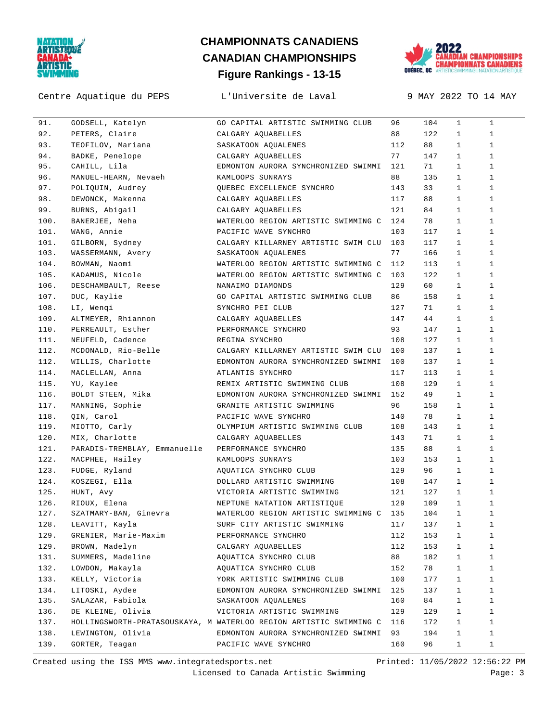

# **Figure Rankings - 13-15 CHAMPIONNATS CANADIENS CANADIAN CHAMPIONSHIPS**



Centre Aquatique du PEPS L'Universite de Laval 9 MAY 2022 TO 14 MAY

| 91.  | GODSELL, Katelyn             | GO CAPITAL ARTISTIC SWIMMING CLUB                                      | 96  | 104 | $\mathbf{1}$ | $\mathbf{1}$ |
|------|------------------------------|------------------------------------------------------------------------|-----|-----|--------------|--------------|
| 92.  | PETERS, Claire               | CALGARY AQUABELLES                                                     | 88  | 122 | $\mathbf{1}$ | $\mathbf{1}$ |
| 93.  | TEOFILOV, Mariana            | SASKATOON AQUALENES                                                    | 112 | 88  | $\mathbf{1}$ | $\mathbf{1}$ |
| 94.  | BADKE, Penelope              | CALGARY AQUABELLES                                                     | 77  | 147 | $\mathbf{1}$ | $\mathbf{1}$ |
| 95.  | CAHILL, Lila                 | EDMONTON AURORA SYNCHRONIZED SWIMMI 121                                |     | 71  | $\mathbf{1}$ | $\mathbf{1}$ |
| 96.  | MANUEL-HEARN, Nevaeh         | KAMLOOPS SUNRAYS                                                       | 88  | 135 | $\mathbf{1}$ | $\mathbf{1}$ |
| 97.  | POLIQUIN, Audrey             | QUEBEC EXCELLENCE SYNCHRO                                              | 143 | 33  | $\mathbf{1}$ | $\mathbf{1}$ |
| 98.  | DEWONCK, Makenna             | CALGARY AQUABELLES                                                     | 117 | 88  | $\mathbf{1}$ | $\mathbf{1}$ |
| 99.  | BURNS, Abigail               | CALGARY AQUABELLES                                                     | 121 | 84  | $\mathbf{1}$ | $\mathbf{1}$ |
| 100. | BANERJEE, Neha               | WATERLOO REGION ARTISTIC SWIMMING C 124                                |     | 78  | $\mathbf{1}$ | $\mathbf{1}$ |
| 101. | WANG, Annie                  | PACIFIC WAVE SYNCHRO                                                   | 103 | 117 | $\mathbf{1}$ | $\mathbf{1}$ |
| 101. | GILBORN, Sydney              | CALGARY KILLARNEY ARTISTIC SWIM CLU 103                                |     | 117 | $\mathbf{1}$ | $\mathbf{1}$ |
| 103. | WASSERMANN, Avery            | SASKATOON AQUALENES                                                    | 77  | 166 | $\mathbf{1}$ | $\mathbf{1}$ |
| 104. | BOWMAN, Naomi                | WATERLOO REGION ARTISTIC SWIMMING C 112                                |     | 113 | $\mathbf{1}$ | $\mathbf{1}$ |
| 105. | KADAMUS, Nicole              | WATERLOO REGION ARTISTIC SWIMMING C                                    | 103 | 122 | $\mathbf{1}$ | $\mathbf{1}$ |
| 106. | DESCHAMBAULT, Reese          | NANAIMO DIAMONDS                                                       | 129 | 60  | $\mathbf{1}$ | $\mathbf{1}$ |
| 107. | DUC, Kaylie                  | GO CAPITAL ARTISTIC SWIMMING CLUB                                      | 86  | 158 | $\mathbf{1}$ | $\mathbf{1}$ |
| 108. | LI, Wenqi                    | SYNCHRO PEI CLUB                                                       | 127 | 71  | $\mathbf{1}$ | $\mathbf{1}$ |
| 109. | ALTMEYER, Rhiannon           | CALGARY AQUABELLES                                                     | 147 | 44  | $\mathbf{1}$ | $\mathbf{1}$ |
| 110. | PERREAULT, Esther            | PERFORMANCE SYNCHRO                                                    | 93  | 147 | $\mathbf{1}$ | $\mathbf{1}$ |
| 111. | NEUFELD, Cadence             | REGINA SYNCHRO                                                         | 108 | 127 | $\mathbf{1}$ | $\mathbf{1}$ |
| 112. | MCDONALD, Rio-Belle          | CALGARY KILLARNEY ARTISTIC SWIM CLU 100                                |     | 137 | $\mathbf{1}$ | $\mathbf{1}$ |
| 112. | WILLIS, Charlotte            | EDMONTON AURORA SYNCHRONIZED SWIMMI                                    | 100 | 137 | $\mathbf{1}$ | $\mathbf{1}$ |
| 114. | MACLELLAN, Anna              | ATLANTIS SYNCHRO                                                       | 117 | 113 | $\mathbf{1}$ | $\mathbf{1}$ |
| 115. | YU, Kaylee                   | REMIX ARTISTIC SWIMMING CLUB                                           | 108 | 129 | $\mathbf{1}$ | $\mathbf{1}$ |
| 116. | BOLDT STEEN, Mika            | EDMONTON AURORA SYNCHRONIZED SWIMMI 152                                |     | 49  | $\mathbf{1}$ | $\mathbf{1}$ |
| 117. | MANNING, Sophie              | GRANITE ARTISTIC SWIMMING                                              | 96  | 158 | $\mathbf{1}$ | $\mathbf{1}$ |
| 118. | QIN, Carol                   | PACIFIC WAVE SYNCHRO                                                   | 140 | 78  | $\mathbf{1}$ | $\mathbf{1}$ |
| 119. | MIOTTO, Carly                | OLYMPIUM ARTISTIC SWIMMING CLUB                                        | 108 | 143 | $\mathbf{1}$ | $\mathbf{1}$ |
| 120. | MIX, Charlotte               | CALGARY AQUABELLES                                                     | 143 | 71  | $\mathbf{1}$ | $\mathbf{1}$ |
| 121. | PARADIS-TREMBLAY, Emmanuelle | PERFORMANCE SYNCHRO                                                    | 135 | 88  | $\mathbf{1}$ | $\mathbf{1}$ |
| 122. | MACPHEE, Hailey              | KAMLOOPS SUNRAYS                                                       | 103 | 153 | $\mathbf{1}$ | $\mathbf{1}$ |
| 123. | FUDGE, Ryland                | AQUATICA SYNCHRO CLUB                                                  | 129 | 96  | $\mathbf{1}$ | 1            |
| 124. | KOSZEGI, Ella                | DOLLARD ARTISTIC SWIMMING                                              | 108 | 147 | $\mathbf{1}$ | $\mathbf{1}$ |
| 125. | HUNT, Avy                    | VICTORIA ARTISTIC SWIMMING                                             | 121 | 127 | $\mathbf{1}$ | $\mathbf{1}$ |
| 126. | RIOUX, Elena                 | NEPTUNE NATATION ARTISTIQUE                                            | 129 | 109 | $\mathbf{1}$ | $\mathbf{1}$ |
| 127. | SZATMARY-BAN, Ginevra        | WATERLOO REGION ARTISTIC SWIMMING C 135                                |     | 104 | $\mathbf{1}$ | $\mathbf{1}$ |
|      | 128. LEAVITT, Kayla          | SURF CITY ARTISTIC SWIMMING 117 137 1                                  |     |     |              | $\mathbf{1}$ |
| 129. | GRENIER, Marie-Maxim         | PERFORMANCE SYNCHRO                                                    | 112 | 153 | $\mathbf{1}$ | 1            |
| 129. | BROWN, Madelyn               | CALGARY AQUABELLES                                                     | 112 | 153 | 1            | 1            |
| 131. | SUMMERS, Madeline            | AQUATICA SYNCHRO CLUB                                                  | 88  | 182 | 1            | 1            |
| 132. | LOWDON, Makayla              | AQUATICA SYNCHRO CLUB                                                  | 152 | 78  | 1            | 1            |
| 133. | KELLY, Victoria              | YORK ARTISTIC SWIMMING CLUB                                            | 100 | 177 | 1            | 1            |
| 134. | LITOSKI, Aydee               | EDMONTON AURORA SYNCHRONIZED SWIMMI 125                                |     | 137 | 1            | 1            |
| 135. | SALAZAR, Fabiola             | SASKATOON AQUALENES                                                    | 160 | 84  | $\mathbf{1}$ | 1            |
| 136. | DE KLEINE, Olivia            | VICTORIA ARTISTIC SWIMMING                                             | 129 | 129 | 1            | 1            |
| 137. |                              | HOLLINGSWORTH-PRATASOUSKAYA, M WATERLOO REGION ARTISTIC SWIMMING C 116 |     | 172 | 1            | 1            |
| 138. | LEWINGTON, Olivia            | EDMONTON AURORA SYNCHRONIZED SWIMMI                                    | 93  | 194 | $\mathbf{1}$ | 1            |
| 139. | GORTER, Teagan               | PACIFIC WAVE SYNCHRO                                                   | 160 | 96  | $\mathbf{1}$ | 1            |
|      |                              |                                                                        |     |     |              |              |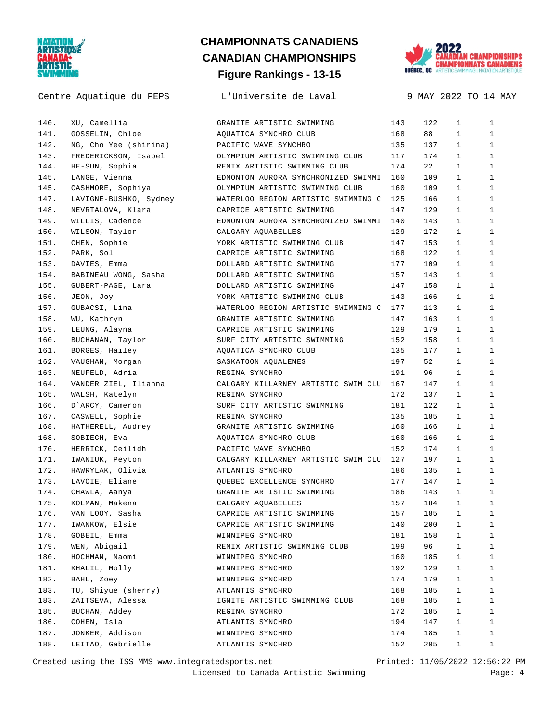

#### Centre Aquatique du PEPS L'Universite de Laval 9 MAY 2022 TO 14 MAY

# **Figure Rankings - 13-15 CHAMPIONNATS CANADIENS CANADIAN CHAMPIONSHIPS**



| 140. | XU, Camellia                               | GRANITE ARTISTIC SWIMMING                | 143 | 122     | $\mathbf{1}$ | $\mathbf{1}$ |
|------|--------------------------------------------|------------------------------------------|-----|---------|--------------|--------------|
| 141. | GOSSELIN, Chloe                            | AQUATICA SYNCHRO CLUB                    | 168 | 88      | $\mathbf{1}$ | $\mathbf{1}$ |
| 142. | NG, Cho Yee (shirina) PACIFIC WAVE SYNCHRO |                                          | 135 | 137     | $\mathbf{1}$ | $\mathbf{1}$ |
| 143. | FREDERICKSON, Isabel                       | OLYMPIUM ARTISTIC SWIMMING CLUB          | 117 | 174     | $\mathbf{1}$ | $\mathbf{1}$ |
| 144. | HE-SUN, Sophia                             | REMIX ARTISTIC SWIMMING CLUB             | 174 | 22      | $\mathbf{1}$ | $\mathbf{1}$ |
| 145. | LANGE, Vienna                              | EDMONTON AURORA SYNCHRONIZED SWIMMI 160  |     | 109     | $\mathbf{1}$ | $\mathbf{1}$ |
| 145. | CASHMORE, Sophiya                          | OLYMPIUM ARTISTIC SWIMMING CLUB          | 160 | 109     | $\mathbf{1}$ | $\mathbf{1}$ |
| 147. | LAVIGNE-BUSHKO, Sydney                     | WATERLOO REGION ARTISTIC SWIMMING C      | 125 | 166     | $\mathbf{1}$ | $\mathbf{1}$ |
| 148. | NEVRTALOVA, Klara                          | CAPRICE ARTISTIC SWIMMING                | 147 | 129     | $\mathbf{1}$ | $\mathbf{1}$ |
| 149. | WILLIS, Cadence                            | EDMONTON AURORA SYNCHRONIZED SWIMMI 140  |     | 143     | $\mathbf{1}$ | $\mathbf{1}$ |
| 150. | WILSON, Taylor                             | CALGARY AQUABELLES                       | 129 | 172     | $\mathbf{1}$ | $\mathbf{1}$ |
| 151. | CHEN, Sophie                               | YORK ARTISTIC SWIMMING CLUB              | 147 | 153     | $\mathbf{1}$ | $\mathbf{1}$ |
| 152. | PARK, Sol                                  | CAPRICE ARTISTIC SWIMMING                | 168 | 122     | $\mathbf{1}$ | $\mathbf{1}$ |
| 153. | DAVIES, Emma                               | DOLLARD ARTISTIC SWIMMING                | 177 | 109     | $\mathbf{1}$ | $\mathbf{1}$ |
| 154. | BABINEAU WONG, Sasha                       | DOLLARD ARTISTIC SWIMMING                | 157 | 143     | $\mathbf{1}$ | $\mathbf{1}$ |
| 155. | GUBERT-PAGE, Lara                          | DOLLARD ARTISTIC SWIMMING                | 147 | 158     | $\mathbf{1}$ | $\mathbf{1}$ |
| 156. | JEON, Joy                                  | YORK ARTISTIC SWIMMING CLUB              | 143 | 166     | $\mathbf{1}$ | $\mathbf{1}$ |
| 157. | GUBACSI, Lina                              | WATERLOO REGION ARTISTIC SWIMMING C 177  |     | 113     | $\mathbf{1}$ | $\mathbf{1}$ |
| 158. | WU, Kathryn                                | GRANITE ARTISTIC SWIMMING                | 147 | 163     | $\mathbf{1}$ | $\mathbf{1}$ |
| 159. | LEUNG, Alayna                              | CAPRICE ARTISTIC SWIMMING                | 129 | 179     | $\mathbf{1}$ | $\mathbf{1}$ |
| 160. | BUCHANAN, Taylor                           | SURF CITY ARTISTIC SWIMMING              | 152 | 158     | $\mathbf{1}$ | $\mathbf{1}$ |
| 161. | BORGES, Hailey                             | AQUATICA SYNCHRO CLUB                    | 135 | 177     | $\mathbf{1}$ | $\mathbf{1}$ |
| 162. | VAUGHAN, Morgan                            | SASKATOON AQUALENES                      | 197 | 52      | $\mathbf{1}$ | $\mathbf{1}$ |
| 163. | NEUFELD, Adria                             | REGINA SYNCHRO                           | 191 | 96      | $\mathbf{1}$ | $\mathbf{1}$ |
| 164. | VANDER ZIEL, Ilianna                       | CALGARY KILLARNEY ARTISTIC SWIM CLU 167  |     | 147     | $\mathbf{1}$ | $\mathbf{1}$ |
| 165. | WALSH, Katelyn                             | REGINA SYNCHRO                           | 172 | 137     | $\mathbf{1}$ | $\mathbf{1}$ |
| 166. | D`ARCY, Cameron                            | SURF CITY ARTISTIC SWIMMING              | 181 | 122     | $\mathbf{1}$ | $\mathbf{1}$ |
| 167. | CASWELL, Sophie                            | REGINA SYNCHRO                           | 135 | 185     | $\mathbf{1}$ | $\mathbf{1}$ |
| 168. | HATHERELL, Audrey                          | GRANITE ARTISTIC SWIMMING                | 160 | 166     | $\mathbf{1}$ | $\mathbf{1}$ |
| 168. | SOBIECH, Eva                               | AQUATICA SYNCHRO CLUB                    | 160 | 166     | $\mathbf{1}$ | $\mathbf{1}$ |
| 170. | HERRICK, Ceilidh                           | PACIFIC WAVE SYNCHRO                     | 152 | 174     | $\mathbf{1}$ | $\mathbf{1}$ |
| 171. | IWANIUK, Peyton                            | CALGARY KILLARNEY ARTISTIC SWIM CLU 127  |     | 197     | $\mathbf{1}$ | $\mathbf{1}$ |
| 172. | HAWRYLAK, Olivia                           | ATLANTIS SYNCHRO                         | 186 | 135     | $\mathbf{1}$ | $\mathbf{1}$ |
| 173. | LAVOIE, Eliane                             | QUEBEC EXCELLENCE SYNCHRO                | 177 | 147     | $\mathbf{1}$ | $\mathbf{1}$ |
| 174. | CHAWLA, Aanya                              | GRANITE ARTISTIC SWIMMING                | 186 | 143     | $\mathbf{1}$ | $\mathbf{1}$ |
| 175. | KOLMAN, Makena                             | CALGARY AQUABELLES                       | 157 | 184     | $\mathbf{1}$ | $\mathbf{1}$ |
| 176. | VAN LOOY, Sasha                            | CAPRICE ARTISTIC SWIMMING                | 157 | 185     | $\mathbf{1}$ | $\mathbf{1}$ |
| 177. |                                            | IWANKOW, Elsie CAPRICE ARTISTIC SWIMMING | 140 | $200$ 1 |              | $\mathbf{1}$ |
| 178. | GOBEIL, Emma                               | WINNIPEG SYNCHRO                         | 181 | 158     | $\mathbf{1}$ | 1            |
| 179. | WEN, Abigail                               | REMIX ARTISTIC SWIMMING CLUB             | 199 | 96      | $\mathbf{1}$ | 1            |
| 180. | HOCHMAN, Naomi                             | WINNIPEG SYNCHRO                         | 160 | 185     | $\mathbf{1}$ | 1            |
| 181. | KHALIL, Molly                              | WINNIPEG SYNCHRO                         | 192 | 129     | $\mathbf{1}$ | 1            |
| 182. | BAHL, Zoey                                 | WINNIPEG SYNCHRO                         | 174 | 179     | $\mathbf{1}$ | 1            |
| 183. | TU, Shiyue (sherry)                        | ATLANTIS SYNCHRO                         | 168 | 185     | $\mathbf{1}$ | 1            |
| 183. | ZAITSEVA, Alessa                           | IGNITE ARTISTIC SWIMMING CLUB            | 168 | 185     | $\mathbf{1}$ | 1            |
| 185. | BUCHAN, Addey                              |                                          | 172 | 185     | $\mathbf{1}$ | 1            |
| 186. | COHEN, Isla                                | REGINA SYNCHRO<br>ATLANTIS SYNCHRO       | 194 | 147     | $\mathbf{1}$ | 1            |
| 187. | JONKER, Addison                            | WINNIPEG SYNCHRO                         | 174 | 185     |              | 1            |
|      |                                            |                                          |     |         | $\mathbf{1}$ |              |
| 188. | LEITAO, Gabrielle                          | ATLANTIS SYNCHRO                         | 152 | 205     | $\mathbf{1}$ | 1            |